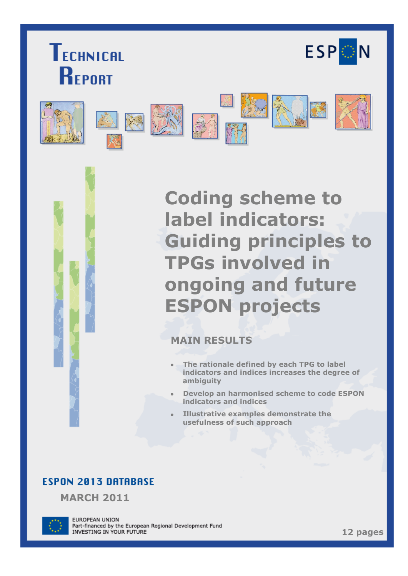





**Coding scheme to label indicators: Guiding principles to TPGs involved in ongoing and future ESPON projects**

## **MAIN RESULTS**

- **The rationale defined by each TPG to label**   $\bullet$ **indicators and indices increases the degree of ambiguity**
- **Develop an harmonised scheme to code ESPON indicators and indices**
- **Illustrative examples demonstrate the usefulness of such approach**

# **ESPON 2013 DATABASE**

**MARCH 2011**



**EUROPEAN UNION** Part-financed by the European Regional Development Fund INVESTING IN YOUR FUTURE

**12 pages**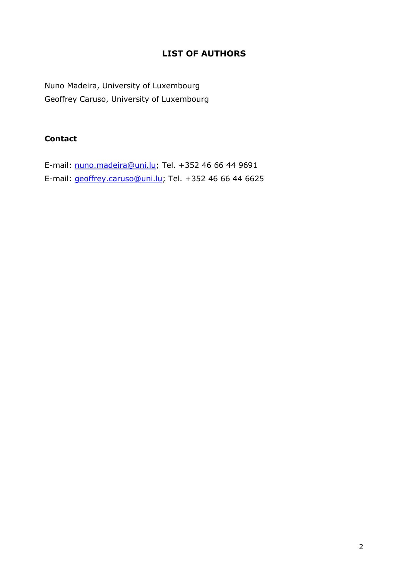### **LIST OF AUTHORS**

Nuno Madeira, University of Luxembourg Geoffrey Caruso, University of Luxembourg

### **Contact**

E-mail: [nuno.madeira@uni.lu;](mailto:christine.zanin@univ-paris-diderot.fr) Tel. +352 46 66 44 9691 E-mail: [geoffrey.caruso@uni.lu;](mailto:nicolas.lambert@ums-riate.fr) Tel. +352 46 66 44 6625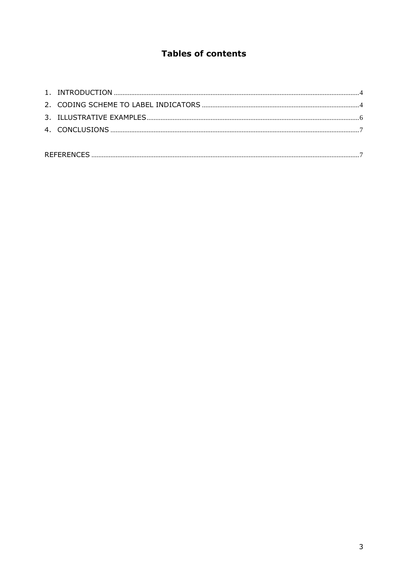## **Tables of contents**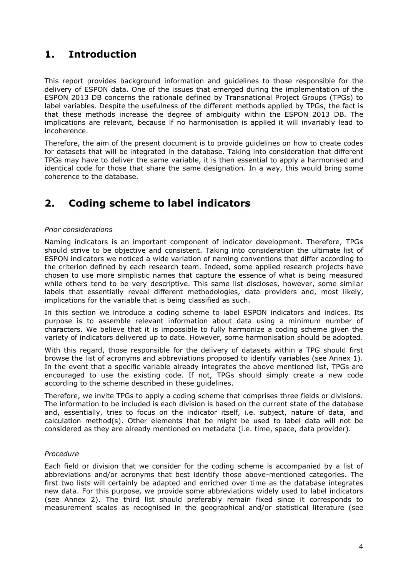# **1. Introduction**

This report provides background information and guidelines to those responsible for the delivery of ESPON data. One of the issues that emerged during the implementation of the ESPON 2013 DB concerns the rationale defined by Transnational Project Groups (TPGs) to label variables. Despite the usefulness of the different methods applied by TPGs, the fact is that these methods increase the degree of ambiguity within the ESPON 2013 DB. The implications are relevant, because if no harmonisation is applied it will invariably lead to incoherence.

Therefore, the aim of the present document is to provide guidelines on how to create codes for datasets that will be integrated in the database. Taking into consideration that different TPGs may have to deliver the same variable, it is then essential to apply a harmonised and identical code for those that share the same designation. In a way, this would bring some coherence to the database.

# **2. Coding scheme to label indicators**

#### *Prior considerations*

Naming indicators is an important component of indicator development. Therefore, TPGs should strive to be objective and consistent. Taking into consideration the ultimate list of ESPON indicators we noticed a wide variation of naming conventions that differ according to the criterion defined by each research team. Indeed, some applied research projects have chosen to use more simplistic names that capture the essence of what is being measured while others tend to be very descriptive. This same list discloses, however, some similar labels that essentially reveal different methodologies, data providers and, most likely, implications for the variable that is being classified as such.

In this section we introduce a coding scheme to label ESPON indicators and indices. Its purpose is to assemble relevant information about data using a minimum number of characters. We believe that it is impossible to fully harmonize a coding scheme given the variety of indicators delivered up to date. However, some harmonisation should be adopted.

With this regard, those responsible for the delivery of datasets within a TPG should first browse the list of acronyms and abbreviations proposed to identify variables (see Annex 1). In the event that a specific variable already integrates the above mentioned list, TPGs are encouraged to use the existing code. If not, TPGs should simply create a new code according to the scheme described in these guidelines.

Therefore, we invite TPGs to apply a coding scheme that comprises three fields or divisions. The information to be included is each division is based on the current state of the database and, essentially, tries to focus on the indicator itself, i.e. subject, nature of data, and calculation method(s). Other elements that be might be used to label data will not be considered as they are already mentioned on metadata (i.e. time, space, data provider).

#### *Procedure*

Each field or division that we consider for the coding scheme is accompanied by a list of abbreviations and/or acronyms that best identify those above-mentioned categories. The first two lists will certainly be adapted and enriched over time as the database integrates new data. For this purpose, we provide some abbreviations widely used to label indicators (see Annex 2). The third list should preferably remain fixed since it corresponds to measurement scales as recognised in the geographical and/or statistical literature (see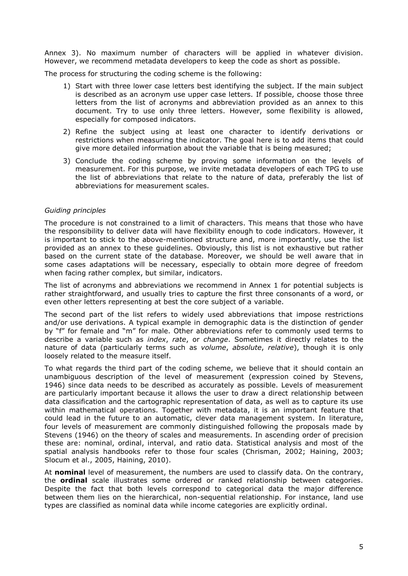Annex 3). No maximum number of characters will be applied in whatever division. However, we recommend metadata developers to keep the code as short as possible.

The process for structuring the coding scheme is the following:

- 1) Start with three lower case letters best identifying the subject. If the main subject is described as an acronym use upper case letters. If possible, choose those three letters from the list of acronyms and abbreviation provided as an annex to this document. Try to use only three letters. However, some flexibility is allowed, especially for composed indicators.
- 2) Refine the subject using at least one character to identify derivations or restrictions when measuring the indicator. The goal here is to add items that could give more detailed information about the variable that is being measured;
- 3) Conclude the coding scheme by proving some information on the levels of measurement. For this purpose, we invite metadata developers of each TPG to use the list of abbreviations that relate to the nature of data, preferably the list of abbreviations for measurement scales.

#### *Guiding principles*

The procedure is not constrained to a limit of characters. This means that those who have the responsibility to deliver data will have flexibility enough to code indicators. However, it is important to stick to the above-mentioned structure and, more importantly, use the list provided as an annex to these guidelines. Obviously, this list is not exhaustive but rather based on the current state of the database. Moreover, we should be well aware that in some cases adaptations will be necessary, especially to obtain more degree of freedom when facing rather complex, but similar, indicators.

The list of acronyms and abbreviations we recommend in Annex 1 for potential subjects is rather straightforward, and usually tries to capture the first three consonants of a word, or even other letters representing at best the core subject of a variable.

The second part of the list refers to widely used abbreviations that impose restrictions and/or use derivations. A typical example in demographic data is the distinction of gender by "f" for female and "m" for male. Other abbreviations refer to commonly used terms to describe a variable such as *index*, *rate*, or *change*. Sometimes it directly relates to the nature of data (particularly terms such as *volume*, *absolute*, *relative*), though it is only loosely related to the measure itself.

To what regards the third part of the coding scheme, we believe that it should contain an unambiguous description of the level of measurement (expression coined by Stevens, 1946) since data needs to be described as accurately as possible. Levels of measurement are particularly important because it allows the user to draw a direct relationship between data classification and the cartographic representation of data, as well as to capture its use within mathematical operations. Together with metadata, it is an important feature that could lead in the future to an automatic, clever data management system. In literature, four levels of measurement are commonly distinguished following the proposals made by Stevens (1946) on the theory of scales and measurements. In ascending order of precision these are: nominal, ordinal, interval, and ratio data. Statistical analysis and most of the spatial analysis handbooks refer to those four scales (Chrisman, 2002; Haining, 2003; Slocum et al., 2005, Haining, 2010).

At **nominal** level of measurement, the numbers are used to classify data. On the contrary, the **ordinal** scale illustrates some ordered or ranked relationship between categories. Despite the fact that both levels correspond to categorical data the major difference between them lies on the hierarchical, non-sequential relationship. For instance, land use types are classified as nominal data while income categories are explicitly ordinal.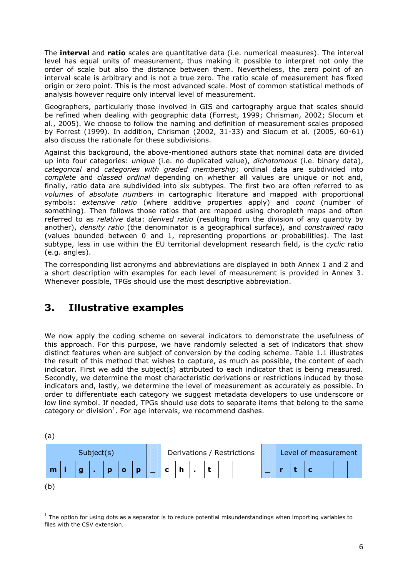The **interval** and **ratio** scales are quantitative data (i.e. numerical measures). The interval level has equal units of measurement, thus making it possible to interpret not only the order of scale but also the distance between them. Nevertheless, the zero point of an interval scale is arbitrary and is not a true zero. The ratio scale of measurement has fixed origin or zero point. This is the most advanced scale. Most of common statistical methods of analysis however require only interval level of measurement.

Geographers, particularly those involved in GIS and cartography argue that scales should be refined when dealing with geographic data (Forrest, 1999; Chrisman, 2002; Slocum et al., 2005). We choose to follow the naming and definition of measurement scales proposed by Forrest (1999). In addition, Chrisman (2002, 31-33) and Slocum et al. (2005, 60-61) also discuss the rationale for these subdivisions.

Against this background, the above-mentioned authors state that nominal data are divided up into four categories: *unique* (i.e. no duplicated value), *dichotomous* (i.e. binary data), *categorical* and *categories with graded membership*; ordinal data are subdivided into *complete* and *classed ordinal* depending on whether all values are unique or not and, finally, ratio data are subdivided into six subtypes. The first two are often referred to as *volumes* of *absolute numbers* in cartographic literature and mapped with proportional symbols: *extensive ratio* (where additive properties apply) and *count* (number of something). Then follows those ratios that are mapped using choropleth maps and often referred to as *relative* data: *derived ratio* (resulting from the division of any quantity by another), *density ratio* (the denominator is a geographical surface), and *constrained ratio* (values bounded between 0 and 1, representing proportions or probabilities). The last subtype, less in use within the EU territorial development research field, is the *cyclic* ratio (e.g. angles).

The corresponding list acronyms and abbreviations are displayed in both Annex 1 and 2 and a short description with examples for each level of measurement is provided in Annex 3. Whenever possible, TPGs should use the most descriptive abbreviation.

## **3. Illustrative examples**

 $\overline{a}$ 

We now apply the coding scheme on several indicators to demonstrate the usefulness of this approach. For this purpose, we have randomly selected a set of indicators that show distinct features when are subject of conversion by the coding scheme. Table 1.1 illustrates the result of this method that wishes to capture, as much as possible, the content of each indicator. First we add the subject(s) attributed to each indicator that is being measured. Secondly, we determine the most characteristic derivations or restrictions induced by those indicators and, lastly, we determine the level of measurement as accurately as possible. In order to differentiate each category we suggest metadata developers to use underscore or low line symbol. If needed, TPGs should use dots to separate items that belong to the same category or division<sup>1</sup>. For age intervals, we recommend dashes.

| 〔a〕        |  |   |  |  |   |   |                            |   |  |  |  |  |                      |  |  |  |  |  |  |
|------------|--|---|--|--|---|---|----------------------------|---|--|--|--|--|----------------------|--|--|--|--|--|--|
| Subject(s) |  |   |  |  |   |   | Derivations / Restrictions |   |  |  |  |  | Level of measurement |  |  |  |  |  |  |
| m          |  | g |  |  | O | D |                            | h |  |  |  |  |                      |  |  |  |  |  |  |
| (b`        |  |   |  |  |   |   |                            |   |  |  |  |  |                      |  |  |  |  |  |  |

 $<sup>1</sup>$  The option for using dots as a separator is to reduce potential misunderstandings when importing variables to</sup> files with the CSV extension.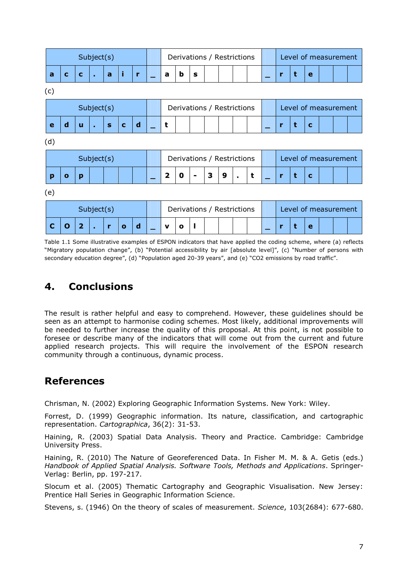| Subject(s) |                                          |                         |              |                |             |                            | Derivations / Restrictions |                            |                      |   |   |   | Level of measurement |                      |  |   |   |   |                      |  |  |
|------------|------------------------------------------|-------------------------|--------------|----------------|-------------|----------------------------|----------------------------|----------------------------|----------------------|---|---|---|----------------------|----------------------|--|---|---|---|----------------------|--|--|
| a          | C                                        | $\mathbf c$             | $\mathbf{r}$ | $\overline{a}$ | j.          | г                          |                            | a                          | b                    | s |   |   |                      |                      |  | r | t | e |                      |  |  |
| (c)        |                                          |                         |              |                |             |                            |                            |                            |                      |   |   |   |                      |                      |  |   |   |   |                      |  |  |
|            | Subject(s)<br>Derivations / Restrictions |                         |              |                |             |                            |                            |                            | Level of measurement |   |   |   |                      |                      |  |   |   |   |                      |  |  |
| e          | $\mathbf d$                              | u                       | $\bullet$    | $\mathbf{s}$   | $\mathbf c$ | $\mathbf d$                |                            | t                          |                      |   |   |   |                      |                      |  | r | t | C |                      |  |  |
| (d)        |                                          |                         |              |                |             |                            |                            |                            |                      |   |   |   |                      |                      |  |   |   |   |                      |  |  |
|            |                                          |                         | Subject(s)   |                |             |                            |                            | Derivations / Restrictions |                      |   |   |   |                      | Level of measurement |  |   |   |   |                      |  |  |
| p          | $\mathbf o$                              | p                       |              |                |             |                            |                            | $\overline{\mathbf{2}}$    | 0                    |   | 3 | 9 | $\blacksquare$       | t                    |  | г | t | C |                      |  |  |
| (e)        |                                          |                         |              |                |             |                            |                            |                            |                      |   |   |   |                      |                      |  |   |   |   |                      |  |  |
| Subject(s) |                                          |                         |              |                |             | Derivations / Restrictions |                            |                            |                      |   |   |   |                      |                      |  |   |   |   | Level of measurement |  |  |
| C          | O                                        | $\overline{\mathbf{2}}$ | ٠            | г              | $\mathbf o$ | d                          |                            | v                          | o                    |   |   |   |                      |                      |  | г | τ | e |                      |  |  |

Table 1.1 Some illustrative examples of ESPON indicators that have applied the coding scheme, where (a) reflects "Migratory population change", (b) "Potential accessibility by air [absolute level]", (c) "Number of persons with secondary education degree", (d) "Population aged 20-39 years", and (e) "CO2 emissions by road traffic".

# **4. Conclusions**

The result is rather helpful and easy to comprehend. However, these guidelines should be seen as an attempt to harmonise coding schemes. Most likely, additional improvements will be needed to further increase the quality of this proposal. At this point, is not possible to foresee or describe many of the indicators that will come out from the current and future applied research projects. This will require the involvement of the ESPON research community through a continuous, dynamic process.

# **References**

Chrisman, N. (2002) Exploring Geographic Information Systems. New York: Wiley.

Forrest, D. (1999) Geographic information. Its nature, classification, and cartographic representation. *Cartographica*, 36(2): 31-53.

Haining, R. (2003) Spatial Data Analysis. Theory and Practice. Cambridge: Cambridge University Press.

Haining, R. (2010) The Nature of Georeferenced Data. In Fisher M. M. & A. Getis (eds.) *Handbook of Applied Spatial Analysis. Software Tools, Methods and Applications*. Springer-Verlag: Berlin, pp. 197-217.

Slocum et al. (2005) Thematic Cartography and Geographic Visualisation. New Jersey: Prentice Hall Series in Geographic Information Science.

Stevens, s. (1946) On the theory of scales of measurement. *Science*, 103(2684): 677-680.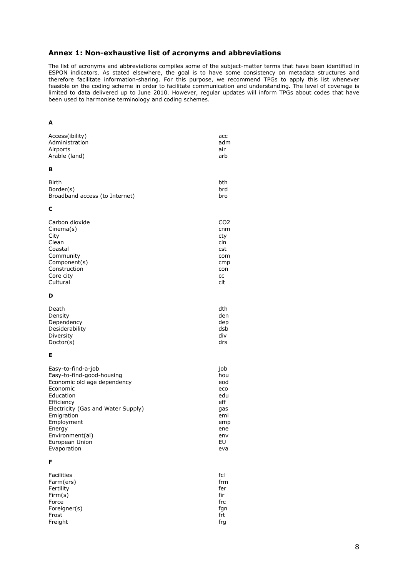#### **Annex 1: Non-exhaustive list of acronyms and abbreviations**

The list of acronyms and abbreviations compiles some of the subject-matter terms that have been identified in ESPON indicators. As stated elsewhere, the goal is to have some consistency on metadata structures and therefore facilitate information-sharing. For this purpose, we recommend TPGs to apply this list whenever feasible on the coding scheme in order to facilitate communication and understanding. The level of coverage is limited to data delivered up to June 2010. However, regular updates will inform TPGs about codes that have been used to harmonise terminology and coding schemes.

#### **A**

| Access(ibility)                    | acc             |
|------------------------------------|-----------------|
| Administration                     | adm             |
| Airports                           | air             |
| Arable (land)                      | arb             |
| в                                  |                 |
| <b>Birth</b>                       | bth             |
| Border(s)                          | brd             |
| Broadband access (to Internet)     | bro             |
| с                                  |                 |
| Carbon dioxide                     | CO <sub>2</sub> |
| Cinema(s)                          | cnm             |
| City                               | cty             |
| Clean                              | cln             |
| Coastal                            | cst             |
| Community                          | com             |
| Component(s)                       | cmp             |
| Construction                       | con             |
| Core city                          | CC              |
| Cultural                           | clt             |
| D                                  |                 |
| Death                              | dth             |
| Density                            | den             |
| Dependency                         | dep             |
| Desiderability                     | dsb             |
| Diversity                          | div             |
| Doctor(s)                          | drs             |
| Е                                  |                 |
| Easy-to-find-a-job                 | job             |
| Easy-to-find-good-housing          | hou             |
| Economic old age dependency        | eod             |
| Economic                           | eco             |
| Education                          | edu             |
| Efficiency                         | eff             |
| Electricity (Gas and Water Supply) | gas             |
| Emigration                         | emi             |
| Employment                         | emp             |
| Energy                             | ene             |
| Environment(al)                    | env             |
| European Union                     | EU              |
| Evaporation                        | eva             |
| F                                  |                 |
| <b>Facilities</b>                  | fcl             |
| Farm(ers)                          | frm             |

| Facilities   | TCL |
|--------------|-----|
| Farm(ers)    | frm |
| Fertility    | fer |
| Firm(s)      | fir |
| Force        | frc |
| Foreigner(s) | fgn |
| Frost        | frt |
| Freight      | frq |
|              |     |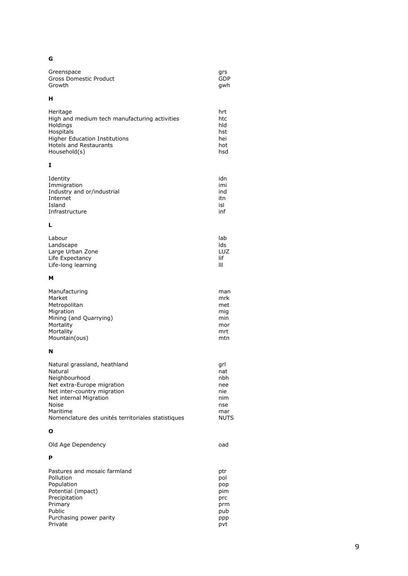#### G

| Greenspace             | ars |
|------------------------|-----|
| Gross Domestic Product | GDP |
| Growth                 | awh |

#### $\mathbf H$

| Heritage                                      | hrt |
|-----------------------------------------------|-----|
| High and medium tech manufacturing activities | htc |
| Holdings                                      | hld |
| Hospitals                                     | hst |
| <b>Higher Education Institutions</b>          | hei |
| <b>Hotels and Restaurants</b>                 | hot |
| Household(s)                                  | hsd |

### $\mathbf{I}$

| Identity                   | idn |
|----------------------------|-----|
| Immigration                | imi |
| Industry and or/industrial | ind |
| Internet                   | itn |
| Island                     | isl |
| Infrastructure             | inf |

#### $\mathbf L$

| Labour             | lab |
|--------------------|-----|
| Landscape          | lds |
| Large Urban Zone   | LUZ |
| Life Expectancy    | lif |
| Life-long learning | Ш   |

#### $\mathsf{M}$

| Manufacturing          | man |
|------------------------|-----|
| Market                 | mrk |
| Metropolitan           | met |
| Migration              | mig |
| Mining (and Quarrying) | min |
| Mortality              | mor |
| Mortality              | mrt |
| Mountain(ous)          | mtn |

#### $\overline{\mathsf{N}}$

| Natural grassland, heathland                       | grl         |
|----------------------------------------------------|-------------|
| Natural                                            | nat         |
| Neighbourhood                                      | nbh         |
| Net extra-Europe migration                         | nee         |
| Net inter-country migration                        | nie         |
| Net internal Migration                             | nim         |
| <b>Noise</b>                                       | nse         |
| Maritime                                           | mar         |
| Nomenclature des unités territoriales statistiques | <b>NUTS</b> |

#### $\mathbf{o}$

| Old Age Dependency | oad |
|--------------------|-----|
| P                  |     |

| Pastures and mosaic farmland | ptr |
|------------------------------|-----|
| Pollution                    | pol |
| Population                   | pop |
| Potential (impact)           | pim |
| Precipitation                | prc |
| Primary                      | prm |
| Public                       | pub |
| Purchasing power parity      | ppp |
| Private                      | pvt |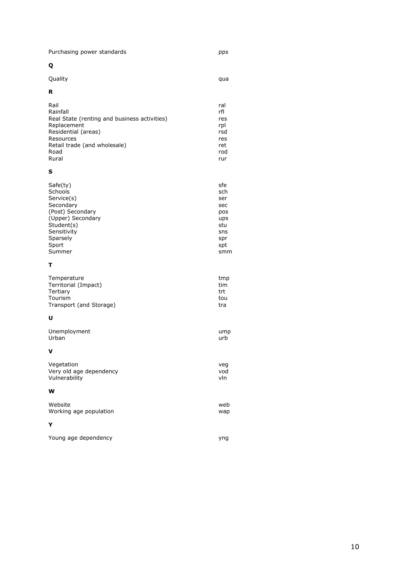| Purchasing power standards |  |  |  |
|----------------------------|--|--|--|
|                            |  |  |  |

### $\mathbf Q$

| Quality |  |  |
|---------|--|--|
|         |  |  |

#### $\overline{\mathbf{R}}$

| Rail<br>Rainfall<br>Real State (renting and business activities)<br>Replacement<br>Residential (areas)<br>Resources | ral<br>rfl<br>res<br>rpl<br>rsd<br>res<br>ret |
|---------------------------------------------------------------------------------------------------------------------|-----------------------------------------------|
| Retail trade (and wholesale)                                                                                        |                                               |
| Road                                                                                                                | rod                                           |
| Rural                                                                                                               | rur                                           |

#### $\mathbf{s}$

| Safe(ty)          | sfe |
|-------------------|-----|
| <b>Schools</b>    | sch |
| Service(s)        | ser |
| Secondary         | sec |
| (Post) Secondary  | pos |
| (Upper) Secondary | ups |
| Student(s)        | stu |
| Sensitivity       | sns |
| Sparsely          | spr |
| Sport             | spt |
| Summer            | smm |

#### $\bar{\mathbf{T}}$

| tmp<br>tim<br>trt<br>tou |
|--------------------------|
| tra                      |
|                          |

#### $\mathbf{U}$

| Unemployment            | ump |
|-------------------------|-----|
| Urban                   | urb |
| v                       |     |
| Vegetation              | veg |
| Very old age dependency | vod |
| Vulnerability           | vln |
| W                       |     |
| Website                 | web |
| Working age population  | wap |
| Y                       |     |

| Young age dependency |  |
|----------------------|--|
|----------------------|--|

pps

qua

yng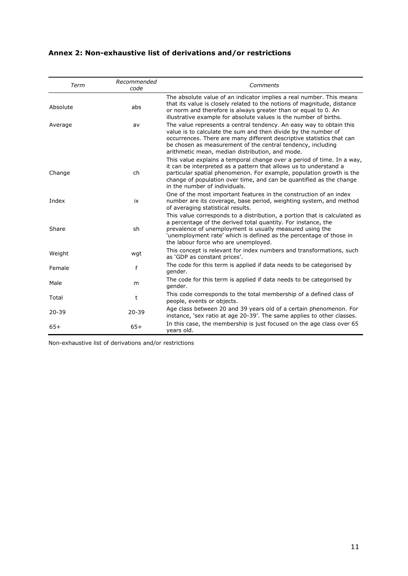### **Annex 2: Non-exhaustive list of derivations and/or restrictions**

| Term      | Recommended<br>code | Comments                                                                                                                                                                                                                                                                                                                         |
|-----------|---------------------|----------------------------------------------------------------------------------------------------------------------------------------------------------------------------------------------------------------------------------------------------------------------------------------------------------------------------------|
| Absolute  | abs                 | The absolute value of an indicator implies a real number. This means<br>that its value is closely related to the notions of magnitude, distance<br>or norm and therefore is always greater than or equal to 0. An<br>illustrative example for absolute values is the number of births.                                           |
| Average   | av                  | The value represents a central tendency. An easy way to obtain this<br>value is to calculate the sum and then divide by the number of<br>occurrences. There are many different descriptive statistics that can<br>be chosen as measurement of the central tendency, including<br>arithmetic mean, median distribution, and mode. |
| Change    | ch                  | This value explains a temporal change over a period of time. In a way,<br>it can be interpreted as a pattern that allows us to understand a<br>particular spatial phenomenon. For example, population growth is the<br>change of population over time, and can be quantified as the change<br>in the number of individuals.      |
| Index     | ix                  | One of the most important features in the construction of an index<br>number are its coverage, base period, weighting system, and method<br>of averaging statistical results.                                                                                                                                                    |
| Share     | sh                  | This value corresponds to a distribution, a portion that is calculated as<br>a percentage of the derived total quantity. For instance, the<br>prevalence of unemployment is usually measured using the<br>'unemployment rate' which is defined as the percentage of those in<br>the labour force who are unemployed.             |
| Weight    | wgt                 | This concept is relevant for index numbers and transformations, such<br>as 'GDP as constant prices'.                                                                                                                                                                                                                             |
| Female    | f                   | The code for this term is applied if data needs to be categorised by<br>gender.                                                                                                                                                                                                                                                  |
| Male      | m                   | The code for this term is applied if data needs to be categorised by<br>gender.                                                                                                                                                                                                                                                  |
| Total     | t                   | This code corresponds to the total membership of a defined class of<br>people, events or objects.                                                                                                                                                                                                                                |
| $20 - 39$ | $20 - 39$           | Age class between 20 and 39 years old of a certain phenomenon. For<br>instance, 'sex ratio at age 20-39'. The same applies to other classes.                                                                                                                                                                                     |
| $65+$     | $65+$               | In this case, the membership is just focused on the age class over 65<br>years old.                                                                                                                                                                                                                                              |

Non-exhaustive list of derivations and/or restrictions